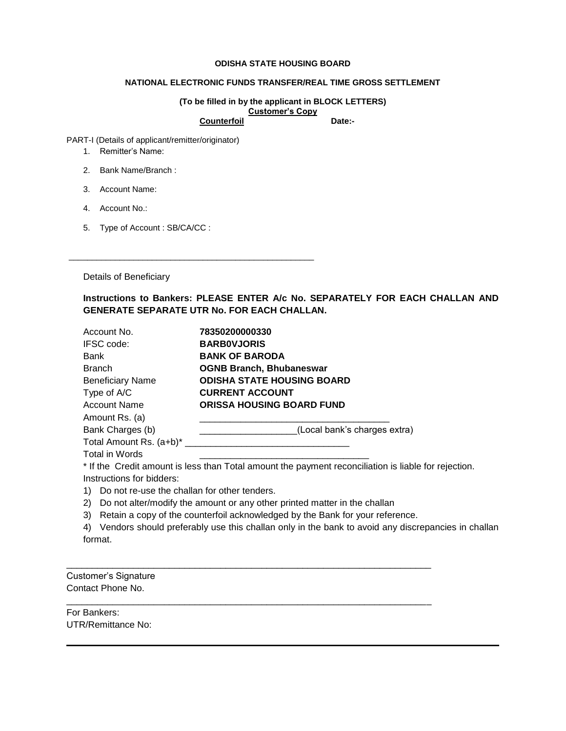## **ODISHA STATE HOUSING BOARD**

## **NATIONAL ELECTRONIC FUNDS TRANSFER/REAL TIME GROSS SETTLEMENT**

**(To be filled in by the applicant in BLOCK LETTERS) Customer's Copy** Counterfoil Date:-

PART-I (Details of applicant/remitter/originator)

- 1. Remitter's Name:
- 2. Bank Name/Branch :
- 3. Account Name:
- 4. Account No.:
- 5. Type of Account : SB/CA/CC :

\_\_\_\_\_\_\_\_\_\_\_\_\_\_\_\_\_\_\_\_\_\_\_\_\_\_\_\_\_\_\_\_\_\_\_\_\_\_\_\_\_\_\_\_\_\_\_\_\_\_\_\_\_

Details of Beneficiary

**Instructions to Bankers: PLEASE ENTER A/c No. SEPARATELY FOR EACH CHALLAN AND GENERATE SEPARATE UTR No. FOR EACH CHALLAN.** 

| Account No.                                                                                             | 78350200000330                                                                                       |
|---------------------------------------------------------------------------------------------------------|------------------------------------------------------------------------------------------------------|
| IFSC code:                                                                                              | <b>BARBOVJORIS</b>                                                                                   |
| Bank                                                                                                    | <b>BANK OF BARODA</b>                                                                                |
| <b>Branch</b>                                                                                           | <b>OGNB Branch, Bhubaneswar</b>                                                                      |
| <b>Beneficiary Name</b>                                                                                 | <b>ODISHA STATE HOUSING BOARD</b>                                                                    |
| Type of A/C                                                                                             | <b>CURRENT ACCOUNT</b>                                                                               |
| Account Name                                                                                            | <b>ORISSA HOUSING BOARD FUND</b>                                                                     |
| Amount Rs. (a)                                                                                          |                                                                                                      |
| Bank Charges (b)                                                                                        | (Local bank's charges extra)                                                                         |
| Total Amount Rs. (a+b)*                                                                                 |                                                                                                      |
| <b>Total in Words</b>                                                                                   |                                                                                                      |
|                                                                                                         | * If the Credit amount is less than Total amount the payment reconciliation is liable for rejection. |
| Instructions for bidders:                                                                               |                                                                                                      |
| Do not re-use the challan for other tenders.<br>1)                                                      |                                                                                                      |
| Do not alter/modify the amount or any other printed matter in the challan<br>2)                         |                                                                                                      |
| Retain a copy of the counterfoil acknowledged by the Bank for your reference.<br>3)                     |                                                                                                      |
| Vendors should preferably use this challan only in the bank to avoid any discrepancies in challan<br>4) |                                                                                                      |
| format.                                                                                                 |                                                                                                      |
|                                                                                                         |                                                                                                      |
|                                                                                                         |                                                                                                      |
| <b>Customer's Signature</b>                                                                             |                                                                                                      |
| Contact Phone No.                                                                                       |                                                                                                      |

\_\_\_\_\_\_\_\_\_\_\_\_\_\_\_\_\_\_\_\_\_\_\_\_\_\_\_\_\_\_\_\_\_\_\_\_\_\_\_\_\_\_\_\_\_\_\_\_\_\_\_\_\_\_\_\_\_\_\_\_\_\_\_\_\_\_\_\_\_\_\_

For Bankers: UTR/Remittance No: